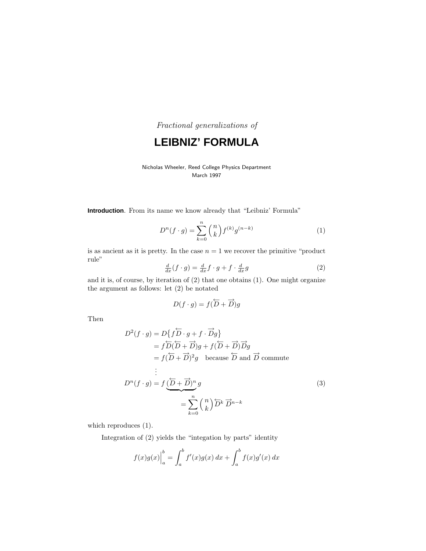Fractional generalizations of

**LEIBNIZ' FORMULA**

#### Nicholas Wheeler, Reed College Physics Department March 1997

**Introduction**. From its name we know already that "Leibniz' Formula"

$$
D^{n}(f \cdot g) = \sum_{k=0}^{n} {n \choose k} f^{(k)} g^{(n-k)}
$$
 (1)

is as ancient as it is pretty. In the case  $n = 1$  we recover the primitive "product" rule"

$$
\frac{d}{dx}(f \cdot g) = \frac{d}{dx}f \cdot g + f \cdot \frac{d}{dx}g \tag{2}
$$

and it is, of course, by iteration of (2) that one obtains (1). One might organize the argument as follows: let (2) be notated

$$
D(f \cdot g) = f(\overleftarrow{D} + \overrightarrow{D})g
$$

Then

$$
D^{2}(f \cdot g) = D\{f\overline{D} \cdot g + f \cdot \overline{D}g\}
$$
  
\n
$$
= f\overline{D}(\overline{D} + \overline{D})g + f(\overline{D} + \overline{D})\overline{D}g
$$
  
\n
$$
= f(\overline{D} + \overline{D})^{2}g \text{ because } \overline{D} \text{ and } \overline{D} \text{ commute}
$$
  
\n:  
\n:  
\n
$$
D^{n}(f \cdot g) = f(\overline{D} + \overline{D})^{n}g
$$
  
\n
$$
= \sum_{k=0}^{n} {n \choose k} \overline{D}^{k} \overline{D}^{n-k}
$$
  
\n(3)

which reproduces (1).

Integration of (2) yields the "integation by parts" identity

$$
f(x)g(x)\Big|_{a}^{b} = \int_{a}^{b} f'(x)g(x) \, dx + \int_{a}^{b} f(x)g'(x) \, dx
$$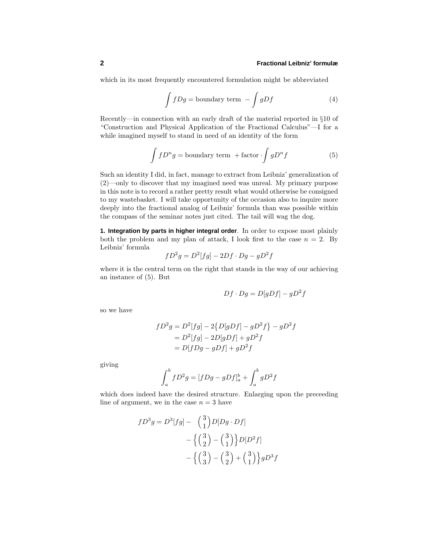# **2 Fractional Leibniz' formulæ**

which in its most frequently encountered formulation might be abbreviated

$$
\int fDg = \text{boundary term} - \int gDf \tag{4}
$$

Recently—in connection with an early draft of the material reported in §10 of "Construction and Physical Application of the Fractional Calculus"—I for a while imagined myself to stand in need of an identity of the form

$$
\int fD^n g = \text{boundary term} + \text{factor} \cdot \int gD^n f \tag{5}
$$

Such an identity I did, in fact, manage to extract from Leibniz' generalization of (2)—only to discover that my imagined need was unreal. My primary purpose in this note is to record a rather pretty result what would otherwise be consigned to my wastebasket. Iwill take opportunity of the occasion also to inquire more deeply into the fractional analog of Leibniz' formula than was possible within the compass of the seminar notes just cited. The tail will wag the dog.

**1. Integration by parts in higher integral order**. In order to expose most plainly both the problem and my plan of attack, I look first to the case  $n = 2$ . By Leibniz' formula

$$
fD^2g = D^2[fg] - 2Df \cdot Dg - gD^2f
$$

where it is the central term on the right that stands in the way of our achieving an instance of (5). But

$$
Df \cdot Dg = D[gDf] - gD^2f
$$

so we have

$$
fD^{2}g = D^{2}[fg] - 2\{D[gDf] - gD^{2}f\} - gD^{2}f
$$
  
= D^{2}[fg] - 2D[gDf] + gD^{2}f  
= D[fDg - gDf] + gD^{2}f

giving

$$
\int_{a}^{b} fD^{2}g = [fDg - gDf]_{a}^{b} + \int_{a}^{b} gD^{2}f
$$

which does indeed have the desired structure. Enlarging upon the preceeding line of argument, we in the case  $n = 3$  have

$$
fD^{3}g = D^{3}[fg] - {3 \choose 1}D[Dg \cdot Df]
$$
  
-  ${3 \choose 2} - {3 \choose 1}D[D^{2}f]$   
-  ${3 \choose 3} - {3 \choose 2} + {3 \choose 1}gD^{3}f$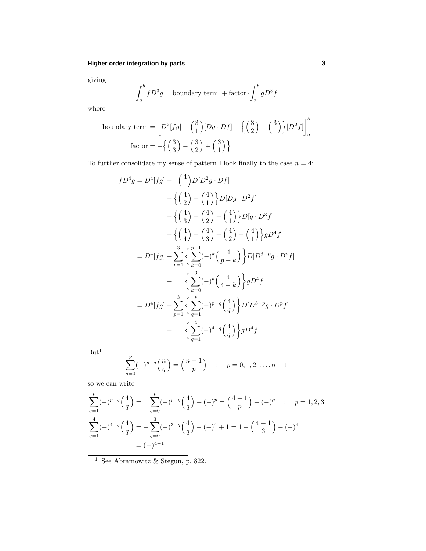# **Higher order integration by parts 3**

giving

$$
\int_{a}^{b} fD^{3}g = \text{boundary term} + \text{factor} \cdot \int_{a}^{b} gD^{3}f
$$

where

boundary term = 
$$
\left[ D^2[fg] - {3 \choose 1} [Dg \cdot Df] - {3 \choose 2} - {3 \choose 1} [D^2f] \right]_a^b
$$
  
factor = 
$$
- {3 \choose 3} - {3 \choose 2} + {3 \choose 1} }
$$

To further consolidate my sense of pattern I look finally to the case  $n = 4$ :

$$
fD^4g = D^4[fg] - {4 \choose 1}D[D^2g \cdot Df]
$$
  
\n
$$
- {4 \choose 2} - {4 \choose 1}D[Dg \cdot D^2f]
$$
  
\n
$$
- {4 \choose 3} - {4 \choose 2} + {4 \choose 1}D[g \cdot D^3f]
$$
  
\n
$$
- {4 \choose 4} - {4 \choose 3} + {4 \choose 2} - {4 \choose 1}gD^4f
$$
  
\n
$$
= D^4[fg] - \sum_{p=1}^3 \left\{ \sum_{k=0}^{p-1} (-)^k {4 \choose p-k} \right\} D[D^{3-p}g \cdot D^p f]
$$
  
\n
$$
- \left\{ \sum_{k=0}^3 (-)^k {4 \choose 4-k} \right\} gD^4f
$$
  
\n
$$
= D^4[fg] - \sum_{p=1}^3 \left\{ \sum_{q=1}^p (-)^{p-q} {4 \choose q} \right\} D[D^{3-p}g \cdot D^p f]
$$
  
\n
$$
- \left\{ \sum_{q=1}^4 (-)^{4-q} {4 \choose q} \right\} gD^4f
$$

 $\rm{But^1}$ 

$$
\sum_{q=0}^{p} (-)^{p-q} \binom{n}{q} = \binom{n-1}{p} \quad : \quad p = 0, 1, 2, \dots, n-1
$$

so we can write

$$
\sum_{q=1}^{p} (-)^{p-q} {4 \choose q} = \sum_{q=0}^{p} (-)^{p-q} {4 \choose q} - (-)^{p} = {4-1 \choose p} - (-)^{p} \quad : \quad p = 1, 2, 3
$$
  

$$
\sum_{q=1}^{4} (-)^{4-q} {4 \choose q} = -\sum_{q=0}^{3} (-)^{3-q} {4 \choose q} - (-)^{4} + 1 = 1 - {4-1 \choose 3} - (-)^{4}
$$
  

$$
= (-)^{4-1}
$$

 $^{\rm 1}$  See Abramowitz & Stegun, p. 822.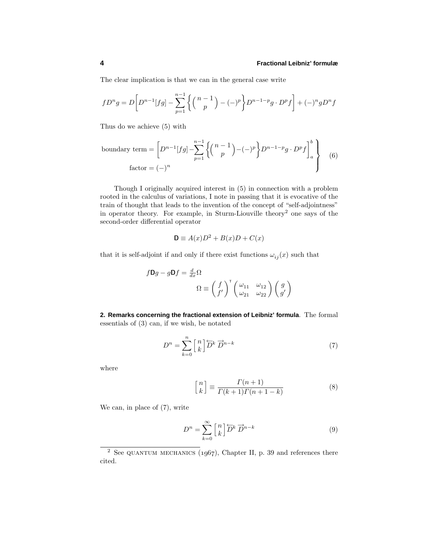The clear implication is that we can in the general case write

$$
fD^{n}g = D\bigg[D^{n-1}[fg] - \sum_{p=1}^{n-1} \left\{ {n-1 \choose p} - (-)^{p} \right\} D^{n-1-p}g \cdot D^{p}f \bigg] + (-)^{n}gD^{n}f
$$

Thus do we achieve (5) with

boundary term = 
$$
\left[D^{n-1}[fg] - \sum_{p=1}^{n-1} \left\{ \binom{n-1}{p} - (-)^p \right\} D^{n-1-p}g \cdot D^p f \right]_a^b
$$
  
factor =  $(-)^n$  (6)

Though I originally acquired interest in  $(5)$  in connection with a problem rooted in the calculus of variations, Inote in passing that it is evocative of the train of thought that leads to the invention of the concept of "self-adjointness" in operator theory. For example, in Sturm-Liouville theory<sup>2</sup> one says of the second-order differential operator

$$
\mathbf{D} \equiv A(x)D^2 + B(x)D + C(x)
$$

that it is self-adjoint if and only if there exist functions  $\omega_{ij}(x)$  such that

$$
f\mathbf{D}g - g\mathbf{D}f = \frac{d}{dx}\Omega
$$

$$
\Omega \equiv \begin{pmatrix} f \\ f' \end{pmatrix}^{\mathrm{T}} \begin{pmatrix} \omega_{11} & \omega_{12} \\ \omega_{21} & \omega_{22} \end{pmatrix} \begin{pmatrix} g \\ g' \end{pmatrix}
$$

**2. Remarks concerning the fractional extension of Leibniz' formula**. The formal essentials of (3) can, if we wish, be notated

$$
D^n = \sum_{k=0}^n \begin{bmatrix} n \\ k \end{bmatrix} \overleftarrow{D}^k \overrightarrow{D}^{n-k} \tag{7}
$$

where

$$
\begin{bmatrix} n \\ k \end{bmatrix} \equiv \frac{\Gamma(n+1)}{\Gamma(k+1)\Gamma(n+1-k)}\tag{8}
$$

We can, in place of (7), write

$$
D^n = \sum_{k=0}^{\infty} \begin{bmatrix} n \\ k \end{bmatrix} \overleftrightarrow{D}^k \overrightarrow{D}^{n-k}
$$
 (9)

<sup>&</sup>lt;sup>2</sup> See QUANTUM MECHANICS ( $1967$ ), Chapter II, p. 39 and references there cited.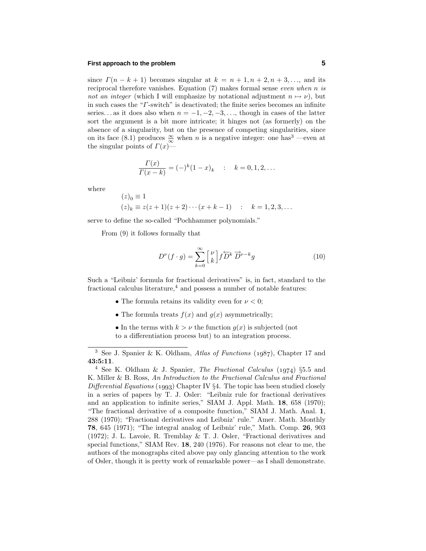# **First approach to the problem 5**

since  $\Gamma(n-k+1)$  becomes singular at  $k = n+1, n+2, n+3, \ldots$ , and its reciprocal therefore vanishes. Equation (7) makes formal sense even when *n* is not an integer (which I will emphasize by notational adjustment  $n \mapsto \nu$ ), but in such cases the "*Γ*-switch" is deactivated; the finite series becomes an infinite series... as it does also when  $n = -1, -2, -3, \ldots$ , though in cases of the latter sort the argument is a bit more intricate; it hinges not (as formerly) on the absence of a singularity, but on the presence of competing singularities, since on its face (8.1) produces  $\frac{\infty}{\infty}$  when *n* is a negative integer: one has<sup>3</sup> —even at the singular points of *Γ*(*x*)—

$$
\frac{\Gamma(x)}{\Gamma(x-k)} = (-)^k (1-x)_k \quad : \quad k = 0, 1, 2, \dots
$$

where

$$
(z)_0 \equiv 1
$$
  
\n $(z)_k \equiv z(z+1)(z+2)\cdots(x+k-1)$  :  $k = 1, 2, 3, \ldots$ 

serve to define the so-called "Pochhammer polynomials."

From (9) it follows formally that

$$
D^{\nu}(f \cdot g) = \sum_{k=0}^{\infty} {\nu \brack k} f \overleftrightarrow{D}^k \overrightarrow{D}^{\nu-k} g \tag{10}
$$

Such a "Leibniz' formula for fractional derivatives" is, in fact, standard to the fractional calculus literature, $4$  and possess a number of notable features:

- The formula retains its validity even for  $\nu < 0$ ;
- The formula treats  $f(x)$  and  $g(x)$  asymmetrically;
- In the terms with  $k > \nu$  the function  $g(x)$  is subjected (not to a differentiation process but) to an integration process.

<sup>&</sup>lt;sup>3</sup> See J. Spanier & K. Oldham, *Atlas of Functions* ( $1987$ ), Chapter 17 and **43:5:11**.

 $4$  See K. Oldham & J. Spanier, The Fractional Calculus (1974) §5.5 and K. Miller & B. Ross, An Introduction to the Fractional Calculus and Fractional Differential Equations (1993) Chapter IV  $\S 4$ . The topic has been studied closely in a series of papers by T. J. Osler: "Leibniz rule for fractional derivatives and an application to infinite series," SIAM J. Appl. Math. **18**, 658 (1970); "The fractional derivative of a composite function," SIAM J. Math. Anal. **1**, 288 (1970); "Fractional derivatives and Leibniz' rule." Amer. Math. Monthly **78**, 645 (1971); "The integral analog of Leibniz' rule," Math. Comp. **26**, 903 (1972); J. L. Lavoie, R. Tremblay & T. J. Osler, "Fractional derivatives and special functions," SIAM Rev. **18**, 240 (1976). For reasons not clear to me, the authors of the monographs cited above pay only glancing attention to the work of Osler, though it is pretty work of remarkable power—as Ishall demonstrate.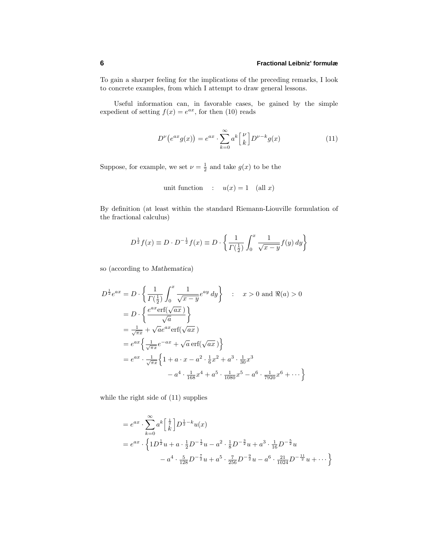To gain a sharper feeling for the implications of the preceding remarks, Ilook to concrete examples, from which I attempt to draw general lessons.

Useful information can, in favorable cases, be gained by the simple expedient of setting  $f(x) = e^{ax}$ , for then (10) reads

$$
D^{\nu}\left(e^{ax}g(x)\right) = e^{ax} \cdot \sum_{k=0}^{\infty} a^k \begin{bmatrix} \nu \\ k \end{bmatrix} D^{\nu-k}g(x) \tag{11}
$$

Suppose, for example, we set  $\nu = \frac{1}{2}$  and take  $g(x)$  to be the

unit function : 
$$
u(x) = 1
$$
 (all x)

By definition (at least within the standard Riemann-Liouville formulation of the fractional calculus)

$$
D^{\frac{1}{2}}f(x) \equiv D \cdot D^{-\frac{1}{2}}f(x) \equiv D \cdot \left\{ \frac{1}{\Gamma(\frac{1}{2})} \int_0^x \frac{1}{\sqrt{x-y}} f(y) \, dy \right\}
$$

so (according to *Mathematica*)

$$
D^{\frac{1}{2}}e^{ax} = D \cdot \left\{ \frac{1}{\Gamma(\frac{1}{2})} \int_0^x \frac{1}{\sqrt{x-y}} e^{ay} dy \right\} : x > 0 \text{ and } \Re(a) > 0
$$
  
\n
$$
= D \cdot \left\{ \frac{e^{ax} \text{erf}(\sqrt{ax})}{\sqrt{a}} \right\}
$$
  
\n
$$
= \frac{1}{\sqrt{\pi x}} + \sqrt{a} e^{ax} \text{erf}(\sqrt{ax})
$$
  
\n
$$
= e^{ax} \left\{ \frac{1}{\sqrt{\pi x}} e^{-ax} + \sqrt{a} \text{erf}(\sqrt{ax}) \right\}
$$
  
\n
$$
= e^{ax} \cdot \frac{1}{\sqrt{\pi x}} \left\{ 1 + a \cdot x - a^2 \cdot \frac{1}{6} x^2 + a^3 \cdot \frac{1}{30} x^3 - a^4 \cdot \frac{1}{168} x^4 + a^5 \cdot \frac{1}{1080} x^5 - a^6 \cdot \frac{1}{7920} x^6 + \cdots \right\}
$$

while the right side of (11) supplies

$$
= e^{ax} \cdot \sum_{k=0}^{\infty} a^k \left[ \frac{1}{k} \right] D^{\frac{1}{2} - k} u(x)
$$
  
=  $e^{ax} \cdot \left\{ 1D^{\frac{1}{2}}u + a \cdot \frac{1}{2}D^{-\frac{1}{2}}u - a^2 \cdot \frac{1}{8}D^{-\frac{3}{2}}u + a^3 \cdot \frac{1}{16}D^{-\frac{5}{2}}u$   
 $- a^4 \cdot \frac{5}{128}D^{-\frac{7}{2}}u + a^5 \cdot \frac{7}{256}D^{-\frac{9}{2}}u - a^6 \cdot \frac{21}{1024}D^{-\frac{11}{2}}u + \cdots \right\}$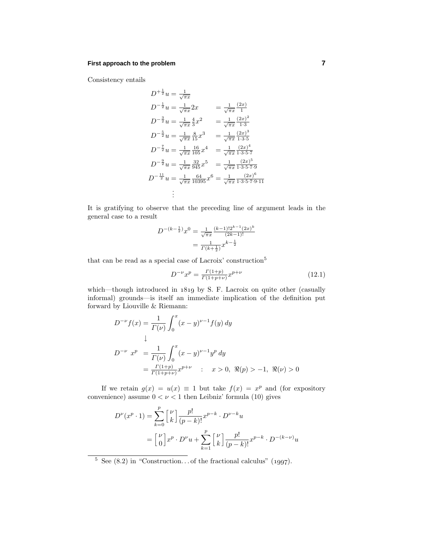# **First approach to the problem 7**

Consistency entails

$$
D^{+\frac{1}{2}}u = \frac{1}{\sqrt{\pi x}}\nD^{-\frac{1}{2}}u = \frac{1}{\sqrt{\pi x}}2x = \frac{1}{\sqrt{\pi x}}\frac{(2x)}{1}\nD^{-\frac{3}{2}}u = \frac{1}{\sqrt{\pi x}}\frac{4}{3}x^2 = \frac{1}{\sqrt{\pi x}}\frac{(2x)^2}{1\cdot 3}\nD^{-\frac{5}{2}}u = \frac{1}{\sqrt{\pi x}}\frac{8}{15}x^3 = \frac{1}{\sqrt{\pi x}}\frac{(2x)^3}{1\cdot 3\cdot 5}\nD^{-\frac{7}{2}}u = \frac{1}{\sqrt{\pi x}}\frac{16}{105}x^4 = \frac{1}{\sqrt{\pi x}}\frac{(2x)^4}{1\cdot 3\cdot 5\cdot 7}\nD^{-\frac{9}{2}}u = \frac{1}{\sqrt{\pi x}}\frac{32}{945}x^5 = \frac{1}{\sqrt{\pi x}}\frac{(2x)^5}{1\cdot 3\cdot 5\cdot 7\cdot 9}
$$
\n
$$
D^{-\frac{11}{2}}u = \frac{1}{\sqrt{\pi x}}\frac{64}{10395}x^6 = \frac{1}{\sqrt{\pi x}}\frac{(2x)^6}{1\cdot 3\cdot 5\cdot 7\cdot 9\cdot 11}
$$
\n
$$
\vdots
$$

It is gratifying to observe that the preceding line of argument leads in the general case to a result

$$
D^{-(k-\frac{1}{2})}x^0 = \frac{1}{\sqrt{\pi x}} \frac{(k-1)!2^{k-1}(2x)^k}{(2k-1)!}
$$

$$
= \frac{1}{\Gamma(k+\frac{1}{2})} x^{k-\frac{1}{2}}
$$

that can be read as a special case of Lacroix' construction<sup>5</sup>

$$
D^{-\nu}x^p = \frac{\Gamma(1+p)}{\Gamma(1+p+\nu)}x^{p+\nu} \tag{12.1}
$$

which—though introduced in  $1819$  by S. F. Lacroix on quite other (casually informal) grounds—is itself an immediate implication of the definition put forward by Liouville & Riemann:

$$
D^{-\nu} f(x) = \frac{1}{\Gamma(\nu)} \int_0^x (x - y)^{\nu - 1} f(y) dy
$$
  
\n
$$
\downarrow
$$
  
\n
$$
D^{-\nu} x^p = \frac{1}{\Gamma(\nu)} \int_0^x (x - y)^{\nu - 1} y^p dy
$$
  
\n
$$
= \frac{\Gamma(1 + p)}{\Gamma(1 + p + \nu)} x^{p + \nu} \quad : \quad x > 0, \quad \Re(p) > -1, \quad \Re(\nu) > 0
$$

If we retain  $g(x) = u(x) \equiv 1$  but take  $f(x) = x^p$  and (for expository convenience) assume  $0 < \nu < 1$  then Leibniz' formula (10) gives

$$
D^{\nu}(x^{p} \cdot 1) = \sum_{k=0}^{p} {\nu \brack k} \frac{p!}{(p-k)!} x^{p-k} \cdot D^{\nu-k} u
$$
  
= 
$$
{\nu \brack 0} x^{p} \cdot D^{\nu} u + \sum_{k=1}^{p} {\nu \brack k} \frac{p!}{(p-k)!} x^{p-k} \cdot D^{-(k-\nu)} u
$$

 $\frac{5}{5}$  See (8.2) in "Construction... of the fractional calculus" (1997).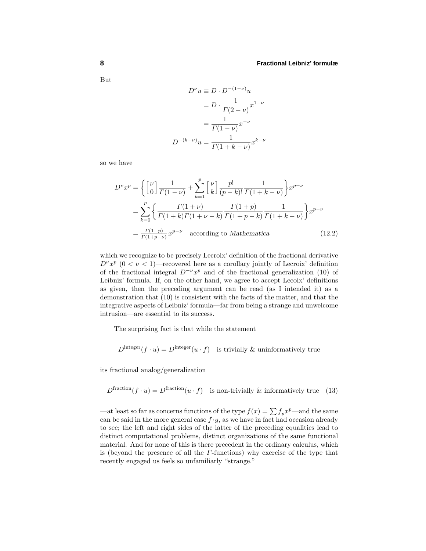But

$$
D^{\nu}u \equiv D \cdot D^{-(1-\nu)}u
$$

$$
= D \cdot \frac{1}{\Gamma(2-\nu)}x^{1-\nu}
$$

$$
= \frac{1}{\Gamma(1-\nu)}x^{-\nu}
$$

$$
D^{-(k-\nu)}u = \frac{1}{\Gamma(1+k-\nu)}x^{k-\nu}
$$

so we have

$$
D^{\nu}x^{p} = \left\{ \begin{bmatrix} \nu \\ 0 \end{bmatrix} \frac{1}{\Gamma(1-\nu)} + \sum_{k=1}^{p} \begin{bmatrix} \nu \\ k \end{bmatrix} \frac{p!}{(p-k)!} \frac{1}{\Gamma(1+k-\nu)} \right\} x^{p-\nu}
$$
  
= 
$$
\sum_{k=0}^{p} \left\{ \frac{\Gamma(1+\nu)}{\Gamma(1+k)\Gamma(1+\nu-k)} \frac{\Gamma(1+p)}{\Gamma(1+p-k)} \frac{1}{\Gamma(1+k-\nu)} \right\} x^{p-\nu}
$$
  
= 
$$
\frac{\Gamma(1+p)}{\Gamma(1+p-\nu)} x^{p-\nu} \quad \text{according to Mathematica} \tag{12.2}
$$

which we recognize to be precisely Lecroix' definition of the fractional derivative  $D^{\nu}x^p$  (0 <  $\nu$  < 1)—recovered here as a corollary jointly of Lecroix' definition of the fractional integral  $D^{-\nu}x^p$  and of the fractional generalization (10) of Leibniz' formula. If, on the other hand, we agree to accept Lecoix' definitions as given, then the preceding argument can be read (as I intended it) as a demonstration that (10) is consistent with the facts of the matter, and that the integrative aspects of Leibniz' formula—far from being a strange and unwelcome intrusion—are essential to its success.

The surprising fact is that while the statement

$$
Dinteger(f \cdot u) = Dinteger(u \cdot f)
$$
 is trivially & uninformatively true

its fractional analog/generalization

 $D^{\text{fraction}}(f \cdot u) = D^{\text{fraction}}(u \cdot f)$  is non-trivially & informatively true (13)

—at least so far as concerns functions of the type  $f(x) = \sum f_p x^p$ —and the same can be said in the more general case  $f \cdot g$ , as we have in fact had occasion already to see; the left and right sides of the latter of the preceding equalities lead to distinct computational problems, distinct organizations of the same functional material. And for none of this is there precedent in the ordinary calculus, which is (beyond the presence of all the *Γ*-functions) why exercise of the type that recently engaged us feels so unfamiliarly "strange."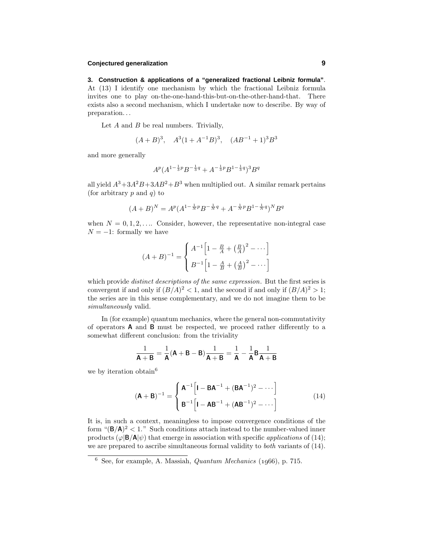# **Conjectured generalization 9**

**3. Construction & applications of a "generalized fractional Leibniz formula"**. At  $(13)$  I identify one mechanism by which the fractional Leibniz formula invites one to play on-the-one-hand-this-but-on-the-other-hand-that. There exists also a second mechanism, which I undertake now to describe. By way of preparation*...*

Let *A* and *B* be real numbers. Trivially,

$$
(A + B)^3
$$
,  $A^3(1 + A^{-1}B)^3$ ,  $(AB^{-1} + 1)^3B^3$ 

and more generally

$$
A^{p}(A^{1-\frac{1}{3}p}B^{-\frac{1}{3}q} + A^{-\frac{1}{3}p}B^{1-\frac{1}{3}q})^{3}B^{q}
$$

all yield  $A^3 + 3A^2B + 3AB^2 + B^3$  when multiplied out. A similar remark pertains (for arbitrary *p* and *q*) to

$$
(A + B)^N = A^p (A^{1 - \frac{1}{N}p} B^{-\frac{1}{N}q} + A^{-\frac{1}{N}p} B^{1 - \frac{1}{N}q})^N B^q
$$

when  $N = 0, 1, 2, \ldots$  Consider, however, the representative non-integral case  $N = -1$ : formally we have

$$
(A + B)^{-1} = \begin{cases} A^{-1} \left[ 1 - \frac{B}{A} + \left( \frac{B}{A} \right)^2 - \dots \right] \\ B^{-1} \left[ 1 - \frac{A}{B} + \left( \frac{A}{B} \right)^2 - \dots \right] \end{cases}
$$

which provide *distinct descriptions of the same expression*. But the first series is convergent if and only if  $(B/A)^2 < 1$ , and the second if and only if  $(B/A)^2 > 1$ ; the series are in this sense complementary, and we do not imagine them to be simultaneously valid.

In (for example) quantum mechanics, where the general non-commutativity of operators **A** and **B** must be respected, we proceed rather differently to a somewhat different conclusion: from the triviality

$$
\frac{1}{\mathsf{A}+\mathsf{B}} = \frac{1}{\mathsf{A}}(\mathsf{A}+\mathsf{B}-\mathsf{B})\frac{1}{\mathsf{A}+\mathsf{B}} = \frac{1}{\mathsf{A}} - \frac{1}{\mathsf{A}}\mathsf{B}\frac{1}{\mathsf{A}+\mathsf{B}}
$$

we by iteration obtain<sup>6</sup>

$$
(\mathbf{A} + \mathbf{B})^{-1} = \begin{cases} \mathbf{A}^{-1} \left[ \mathbf{I} - \mathbf{B} \mathbf{A}^{-1} + (\mathbf{B} \mathbf{A}^{-1})^2 - \cdots \right] \\ \mathbf{B}^{-1} \left[ \mathbf{I} - \mathbf{A} \mathbf{B}^{-1} + (\mathbf{A} \mathbf{B}^{-1})^2 - \cdots \right] \end{cases}
$$
(14)

It is, in such a context, meaningless to impose convergence conditions of the form " $(\mathbf{B}/\mathbf{A})^2 < 1$ ." Such conditions attach instead to the number-valued inner products  $(\varphi|\mathbf{B}/\mathbf{A}|\psi)$  that emerge in association with specific *applications* of (14); we are prepared to ascribe simultaneous formal validity to *both* variants of (14).

 $6$  See, for example, A. Massiah, *Quantum Mechanics* (1966), p. 715.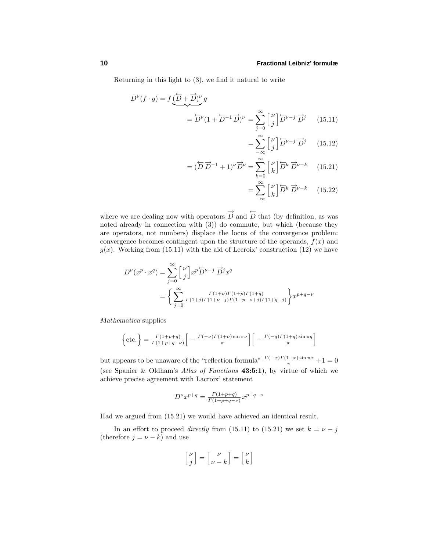Returning in this light to (3), we find it natural to write

$$
D^{\nu}(f \cdot g) = f \underbrace{(\overleftarrow{D} + \overrightarrow{D})^{\nu}}_{= \overleftarrow{D}^{\nu}} g
$$
  
= 
$$
\overleftarrow{D}^{\nu} (1 + \overleftarrow{D}^{-1} \overrightarrow{D})^{\nu} = \sum_{j=0}^{\infty} \begin{bmatrix} \nu \\ j \end{bmatrix} \overleftarrow{D}^{\nu-j} \overrightarrow{D}^j \qquad (15.11)
$$

$$
= \sum_{-\infty}^{\infty} \left[ \nu \atop j \right] \overleftrightarrow{D}^{\nu-j} \overrightarrow{D}^j \qquad (15.12)
$$

$$
= (\overleftrightarrow{D} \overrightarrow{D}^{-1} + 1)^{\nu} \overrightarrow{D}^{\nu} = \sum_{k=0}^{\infty} {\nu \brack k} \overleftarrow{D}^{k} \overrightarrow{D}^{\nu-k} \qquad (15.21)
$$

$$
= \sum_{-\infty}^{\infty} \begin{bmatrix} \nu \\ k \end{bmatrix} \overleftrightarrow{D}^k \overrightarrow{D}^{\nu-k} \qquad (15.22)
$$

where we are dealing now with operators  $\overrightarrow{D}$  and  $\overleftarrow{D}$  that (by definition, as was noted already in connection with (3)) do commute, but which (because they are operators, not numbers) displace the locus of the convergence problem: convergence becomes contingent upon the structure of the operands,  $f(x)$  and  $g(x)$ . Working from (15.11) with the aid of Lecroix' construction (12) we have

$$
D^{\nu}(x^p \cdot x^q) = \sum_{j=0}^{\infty} {\nu \brack j} x^p \overleftarrow{D}^{\nu-j} \overrightarrow{D}^j x^q
$$
  
= 
$$
\left\{ \sum_{j=0}^{\infty} \frac{\Gamma(1+\nu)\Gamma(1+p)\Gamma(1+q)}{\Gamma(1+j)\Gamma(1+\nu-j)\Gamma(1+p-\nu+j)\Gamma(1+q-j)} \right\} x^{p+q-\nu}
$$

*Mathematica* supplies

$$
\left\{\text{etc.}\right\} = \frac{\Gamma(1+p+q)}{\Gamma(1+p+q-\nu)} \left[ -\frac{\Gamma(-\nu)\Gamma(1+\nu)\sin \pi \nu}{\pi} \right] \left[ -\frac{\Gamma(-q)\Gamma(1+q)\sin \pi q}{\pi} \right]
$$

but appears to be unaware of the "reflection formula"  $\frac{\Gamma(-x)\Gamma(1+x)\sin \pi x}{\pi} + 1 = 0$ (see Spanier & Oldham's Atlas of Functions **43:5:1**), by virtue of which we achieve precise agreement with Lacroix' statement

$$
D^{\nu}x^{p+q} = \frac{\Gamma(1+p+q)}{\Gamma(1+p+q-\nu)}x^{p+q-\nu}
$$

Had we argued from (15.21) we would have achieved an identical result.

In an effort to proceed *directly* from (15.11) to (15.21) we set  $k = \nu - j$ (therefore  $j = \nu - k$ ) and use

$$
\begin{bmatrix} \nu \\ j \end{bmatrix} = \begin{bmatrix} \nu \\ \nu - k \end{bmatrix} = \begin{bmatrix} \nu \\ k \end{bmatrix}
$$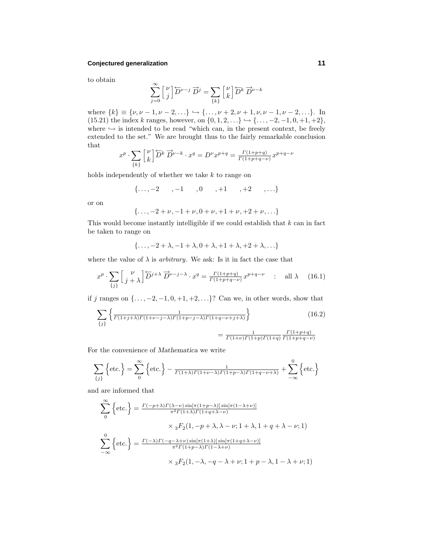#### **Conjectured generalization 11**

to obtain

$$
\sum_{j=0}^{\infty} \begin{bmatrix} \nu \\ j \end{bmatrix} \overleftarrow{D}^{\nu-j} \overrightarrow{D}^j = \sum_{\{k\}} \begin{bmatrix} \nu \\ k \end{bmatrix} \overleftrightarrow{D}^k \overrightarrow{D}^{\nu-k}
$$

where  ${k}$  ≡ { $\nu, \nu - 1, \nu - 2, ...$ }  $\hookrightarrow$  {*...,v* + 2*,v* + 1*,v*,*v* − 1*,v* − 2*,...*}. In (15.21) the index *k* ranges, however, on {0, 1, 2, ...} → {..., −2, −1, 0, +1, +2}, where  $\hookrightarrow$  is intended to be read "which can, in the present context, be freely extended to the set." We are brought thus to the fairly remarkable conclusion that

$$
x^p \cdot \sum_{\{k\}} {\begin{bmatrix} \nu \\ k \end{bmatrix}} \overleftrightarrow{D}^k \overrightarrow{D}^{\nu-k} \cdot x^q = D^{\nu} x^{p+q} = \frac{\Gamma(1+p+q)}{\Gamma(1+p+q-\nu)} x^{p+q-\nu}
$$

holds independently of whether we take *k* to range on

$$
\{\ldots, -2 \quad , -1 \quad , 0 \quad , +1 \quad , +2 \quad , \ldots \}
$$

or on

$$
\{\ldots, -2+\nu, -1+\nu, 0+\nu, +1+\nu, +2+\nu, \ldots\}
$$

This would become instantly intelligible if we could establish that *k* can in fact be taken to range on

$$
\{\ldots, -2+\lambda, -1+\lambda, 0+\lambda, +1+\lambda, +2+\lambda, \ldots\}
$$

where the value of  $\lambda$  is *arbitrary*. We ask: Is it in fact the case that

$$
x^p \cdot \sum_{\{j\}} \begin{bmatrix} \nu \\ j+\lambda \end{bmatrix} \overleftrightarrow{D}^{j+\lambda} \overrightarrow{D}^{\nu-j-\lambda} \cdot x^q = \frac{\Gamma(1+p+q)}{\Gamma(1+p+q-\nu)} x^{p+q-\nu} \quad : \quad \text{all } \lambda \quad (16.1)
$$

if *j* ranges on {*...,* −2*,* −1*,* 0*,* +1*,* +2*,...*}? Can we, in other words, show that

$$
\sum_{\{j\}} \left\{ \frac{1}{\Gamma(1+j+\lambda)\Gamma(1+\nu-j-\lambda)\Gamma(1+p-j-\lambda)\Gamma(1+q-\nu+j+\lambda)} \right\}
$$
(16.2)  
= 
$$
\frac{1}{\Gamma(1+\nu)\Gamma(1+p)\Gamma(1+q)} \frac{\Gamma(1+p+q)}{\Gamma(1+p+q-\nu)}
$$

For the convenience of *Mathematica* we write

$$
\sum_{\{j\}} \left\{ \text{etc.} \right\} = \sum_{0}^{\infty} \left\{ \text{etc.} \right\} - \frac{1}{\Gamma(1+\lambda)\Gamma(1+\nu-\lambda)\Gamma(1+p-\lambda)\Gamma(1+q-\nu+\lambda)} + \sum_{-\infty}^{0} \left\{ \text{etc.} \right\}
$$

and are informed that

$$
\sum_{0}^{\infty} \left\{ \text{etc.} \right\} = \frac{\Gamma(-p+\lambda)\Gamma(\lambda-\nu)\sin[\pi(1+p-\lambda)]\sin[\pi(1-\lambda+\nu)]}{\pi^2\Gamma(1+\lambda)\Gamma(1+q+\lambda-\nu)}
$$

$$
\times {}_{3}F_{2}(1,-p+\lambda,\lambda-\nu;1+\lambda,1+q+\lambda-\nu;1)
$$

$$
\sum_{-\infty}^{0} \left\{ \text{etc.} \right\} = \frac{\Gamma(-\lambda)\Gamma(-q-\lambda+\nu)\sin[\pi(1+\lambda)]\sin[\pi(1+q+\lambda-\nu)]}{\pi^2\Gamma(1+p-\lambda)\Gamma(1-\lambda+\nu)}
$$

$$
\times {}_{3}F_{2}(1,-\lambda,-q-\lambda+\nu;1+p-\lambda,1-\lambda+\nu;1)
$$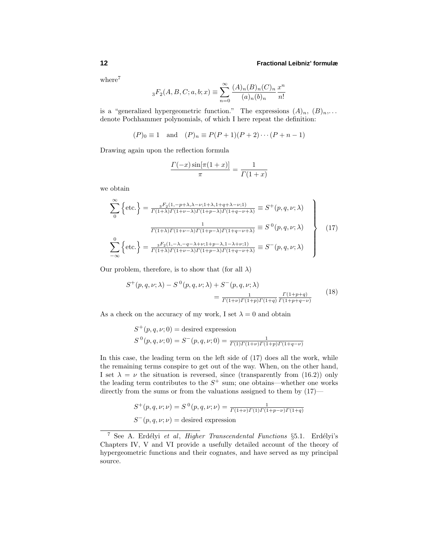#### **12 Fractional Leibniz' formulæ**

where<sup>7</sup>

$$
{}_{3}F_{2}(A, B, C; a, b; x) \equiv \sum_{n=0}^{\infty} \frac{(A)_{n}(B)_{n}(C)_{n}}{(a)_{n}(b)_{n}} \frac{x^{n}}{n!}
$$

is a "generalized hypergeometric function." The expressions  $(A)_n$ ,  $(B)_n$ ,... denote Pochhammer polynomials, of which I here repeat the definition:

$$
(P)_0 \equiv 1
$$
 and  $(P)_n \equiv P(P+1)(P+2)\cdots(P+n-1)$ 

Drawing again upon the reflection formula

$$
\frac{\Gamma(-x)\sin[\pi(1+x)]}{\pi} = \frac{1}{\Gamma(1+x)}
$$

we obtain

$$
\sum_{0}^{\infty} \left\{ \text{etc.} \right\} = \frac{{}_{3}F_{2}(1, -p+\lambda,\lambda-\nu;1+\lambda,1+q+\lambda-\nu;1)}{\Gamma(1+\lambda)\Gamma(1+\nu-\lambda)\Gamma(1+p-\lambda)\Gamma(1+q-\nu+\lambda)} \equiv S^{+}(p,q,\nu;\lambda)
$$
\n
$$
\frac{1}{\Gamma(1+\lambda)\Gamma(1+\nu-\lambda)\Gamma(1+p-\lambda)\Gamma(1+q-\nu+\lambda)} \equiv S^{0}(p,q,\nu;\lambda)
$$
\n
$$
\sum_{-\infty}^{0} \left\{ \text{etc.} \right\} = \frac{{}_{3}F_{2}(1,-\lambda,-q-\lambda+\nu;1+p-\lambda,1-\lambda+\nu;1)}{\Gamma(1+\lambda)\Gamma(1+\nu-\lambda)\Gamma(1+p-\lambda)\Gamma(1+q-\nu+\lambda)} \equiv S^{-}(p,q,\nu;\lambda)
$$
\n
$$
(17)
$$

Our problem, therefore, is to show that (for all  $\lambda$ )

$$
S^{+}(p,q,\nu;\lambda) - S^{0}(p,q,\nu;\lambda) + S^{-}(p,q,\nu;\lambda) = \frac{1}{\Gamma(1+\nu)\Gamma(1+p)\Gamma(1+q)} \frac{\Gamma(1+p+q)}{\Gamma(1+p+q-\nu)}
$$
(18)

As a check on the accuracy of my work, I set  $\lambda = 0$  and obtain

$$
S^{+}(p,q,\nu;0) = \text{desired expression}
$$
  

$$
S^{0}(p,q,\nu;0) = S^{-}(p,q,\nu;0) = \frac{1}{\Gamma(1)\Gamma(1+\nu)\Gamma(1+p)\Gamma(1+q-\nu)}
$$

In this case, the leading term on the left side of (17) does all the work, while the remaining terms conspire to get out of the way. When, on the other hand, I set  $\lambda = \nu$  the situation is reversed, since (transparently from (16.2)) only the leading term contributes to the  $S^+$  sum; one obtains—whether one works directly from the sums or from the valuations assigned to them by  $(17)$ —

$$
S^+(p,q,\nu;\nu) = S^0(p,q,\nu;\nu) = \frac{1}{\Gamma(1+\nu)\Gamma(1)\Gamma(1+p-\nu)\Gamma(1+q)}
$$

$$
S^-(p,q,\nu;\nu) = \text{desired expression}
$$

<sup>&</sup>lt;sup>7</sup> See A. Erdélyi et al, Higher Transcendental Functions  $\S 5.1$ . Erdélyi's Chapters IV, V and VI provide a usefully detailed account of the theory of hypergeometric functions and their cognates, and have served as my principal source.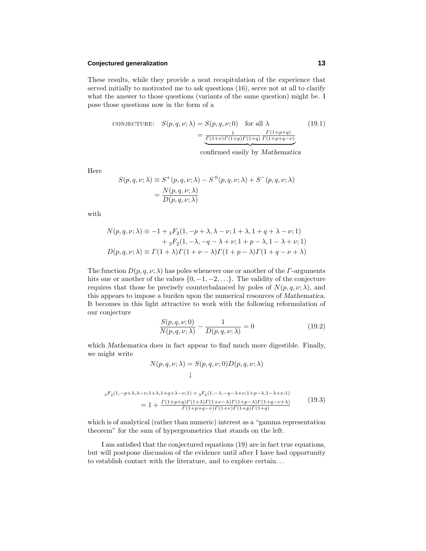#### **Conjectured generalization 13**

These results, while they provide a neat recapitulation of the experience that served initially to motivated me to ask questions (16), serve not at all to clarify what the answer to those questions (variants of the same question) might be. I pose those questions now in the form of a

$$
CONFCTURE: S(p, q, \nu; \lambda) = S(p, q, \nu; 0) \text{ for all } \lambda \qquad (19.1)
$$

$$
= \frac{1}{\frac{\Gamma(1+\nu)\Gamma(1+p)\Gamma(1+q)}{\Gamma(1+p+q-\nu)}}
$$

 confirmed easily by *Mathematica*

Here

$$
S(p,q,\nu;\lambda) \equiv S^+(p,q,\nu;\lambda) - S^0(p,q,\nu;\lambda) + S^-(p,q,\nu;\lambda)
$$
  
= 
$$
\frac{N(p,q,\nu;\lambda)}{D(p,q,\nu;\lambda)}
$$

with

$$
N(p,q,\nu;\lambda) \equiv -1 + {}_3F_2(1,-p+\lambda,\lambda-\nu;1+\lambda,1+q+\lambda-\nu;1) + {}_3F_2(1,-\lambda,-q-\lambda+\nu;1+p-\lambda,1-\lambda+\nu;1) D(p,q,\nu;\lambda) \equiv \Gamma(1+\lambda)\Gamma(1+\nu-\lambda)\Gamma(1+p-\lambda)\Gamma(1+q-\nu+\lambda)
$$

The function  $D(p, q, \nu; \lambda)$  has poles whenever one or another of the *Γ*-arguments hits one or another of the values  $\{0, -1, -2, \ldots\}$ . The validity of the conjecture requires that those be precisely counterbalanced by poles of  $N(p, q, \nu; \lambda)$ , and this appears to impose a burden upon the numerical resources of *Mathematica*. It becomes in this light attractive to work with the following reformulation of our conjecture

$$
\frac{S(p,q,\nu;0)}{N(p,q,\nu;\lambda)} - \frac{1}{D(p,q,\nu;\lambda)} = 0
$$
\n(19.2)

which *Mathematica* does in fact appear to find much more digestible. Finally, we might write

$$
N(p, q, \nu; \lambda) = S(p, q, \nu; 0)D(p, q, \nu; \lambda)
$$
  
\n
$$
\downarrow
$$
  
\n
$$
{}_{3}F_{2}(1, -p+\lambda, \lambda-\nu; 1+\lambda, 1+q+\lambda-\nu; 1) + {}_{3}F_{2}(1, -\lambda, -q-\lambda+\nu; 1+p-\lambda, 1-\lambda+\nu; 1)
$$
  
\n
$$
= 1 + \frac{\Gamma(1+p+q)\Gamma(1+\lambda)\Gamma(1+\nu-\lambda)\Gamma(1+p-\lambda)\Gamma(1+q-\nu+\lambda)}{\Gamma(1+p+q-\nu)\Gamma(1+\nu)\Gamma(1+q)\Gamma(1+q)} \tag{19.3}
$$

which is of analytical (rather than numeric) interest as a "gamma representation theorem" for the sum of hypergeometrics that stands on the left.

Iam satisfied that the conjectured equations (19) are in fact true equations, but will postpone discussion of the evidence until after Ihave had opportunity to establish contact with the literature, and to explore certain*...*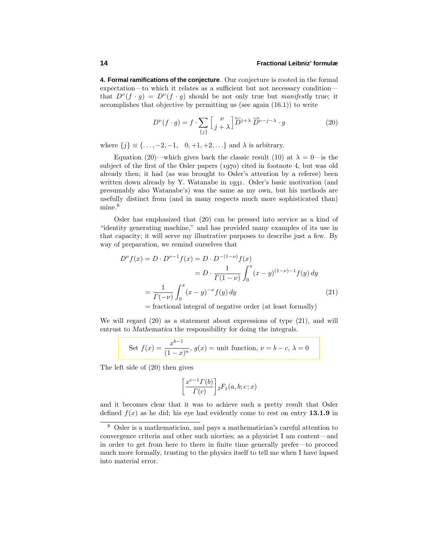**4. Formal ramifications of the conjecture**. Our conjecture is rooted in the formal expectation—to which it relates as a sufficient but not necessary condition that  $D^{\nu}(f \cdot q) = D^{\nu}(f \cdot q)$  should be not only true but manifestly true; it accomplishes that objective by permitting us (see again (16.1)) to write

$$
D^{\nu}(f \cdot g) = f \cdot \sum_{\{j\}} \left[ \frac{\nu}{j + \lambda} \right] \overleftrightarrow{D}^{j + \lambda} \overrightarrow{D}^{\nu - j - \lambda} \cdot g \tag{20}
$$

where  $\{j\} \equiv \{\ldots, -2, -1, 0, +1, +2, \ldots\}$  and  $\lambda$  is arbitrary.

Equation (20)—which gives back the classic result (10) at  $\lambda = 0$ —is the subject of the first of the Osler papers  $(1970)$  cited in footnote 4, but was old already then; it had (as was brought to Osler's attention by a referee) been written down already by Y. Watanabe in 1931. Osler's basic motivation (and presumably also Watanabe's) was the same as my own, but his methods are usefully distinct from (and in many respects much more sophisticated than) mine.<sup>8</sup>

Osler has emphasized that (20) can be pressed into service as a kind of "identity generating machine," and has provided many examples of its use in that capacity; it will serve my illustrative purposes to describe just a few. By way of preparation, we remind ourselves that

$$
D^{\nu} f(x) = D \cdot D^{\nu - 1} f(x) = D \cdot D^{-(1 - \nu)} f(x)
$$
  
= 
$$
D \cdot \frac{1}{\Gamma(1 - \nu)} \int_0^x (x - y)^{(1 - \nu) - 1} f(y) dy
$$
  
= 
$$
\frac{1}{\Gamma(-\nu)} \int_0^x (x - y)^{-\nu} f(y) dy
$$
(21)

 $=$  fractional integral of negative order (at least formally)

We will regard (20) as a statement about expressions of type (21), and will entrust to *Mathematica* the responsibility for doing the integrals.

Set 
$$
f(x) = \frac{x^{b-1}}{(1-x)^a}
$$
,  $g(x) = \text{unit function}, \nu = b - c, \lambda = 0$ 

The left side of (20) then gives

$$
\left[\frac{x^{c-1}\Gamma(b)}{\Gamma(c)}\right]{}_2F_1(a,b;c;x)
$$

and it becomes clear that it was to achieve such a pretty result that Osler defined  $f(x)$  as he did; his eye had evidently come to rest on entry **13.1.9** in

<sup>8</sup> Osler is a mathematician, and pays a mathematician's careful attention to convergence criteria and other such niceties; as a physicist Iam content—and in order to get from here to there in finite time generally prefer—to proceed much more formally, trusting to the physics itself to tell me when I have lapsed into material error.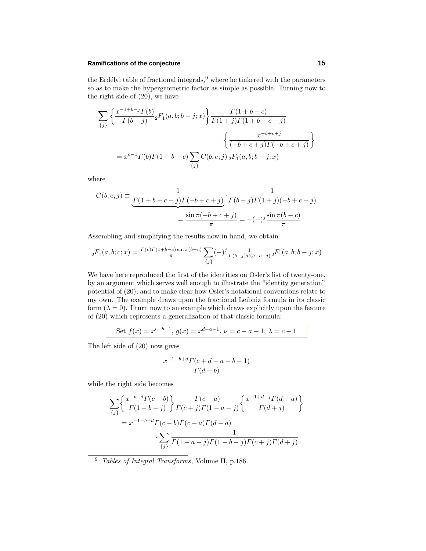# **Ramifications of the conjecture 15**

the Erdélyi table of fractional integrals, $9$  where he tinkered with the parameters so as to make the hypergeometric factor as simple as possible. Turning now to the right side of (20), we have

$$
\sum_{\{j\}} \left\{ \frac{x^{-1+b-j} \Gamma(b)}{\Gamma(b-j)} {}_2F_1(a,b;b-j;x) \right\} \frac{\Gamma(1+b-c)}{\Gamma(1+j) \Gamma(1+b-c-j)} \n- \left\{ \frac{x^{-b+c+j}}{(-b+c+j) \Gamma(-b+c+j)} \right\} \n= x^{c-1} \Gamma(b) \Gamma(1+b-c) \sum_{\{j\}} C(b,c;j) {}_2F_1(a,b;b-j;x)
$$

where

$$
C(b, c; j) \equiv \underbrace{\frac{1}{\Gamma(1 + b - c - j)\Gamma(-b + c + j)}}_{\equiv \frac{\sin \pi(-b + c + j)}{\pi}} \cdot \frac{1}{\Gamma(b - j)\Gamma(1 + j)(-b + c + j)} = \frac{1}{\pi}
$$

Assembling and simplifying the results now in hand, we obtain

$$
{}_2F_1(a,b;c;x) = \tfrac{\varGamma(c)\varGamma(1+b-c)\sin\pi(b-c)}{\pi} \sum_{\{j\}} (-)^j \tfrac{1}{\varGamma(b-j)j!(b-c-j)} {}_2F_1(a,b;b-j;x)
$$

We have here reproduced the first of the identities on Osler's list of twenty-one, by an argument which serves well enough to illustrate the "identity generation" potential of (20), and to make clear how Osler's notational conventions relate to my own. The example draws upon the fractional Leibniz formula in its classic form  $(\lambda = 0)$ . I turn now to an example which draws explicitly upon the feature of (20) which represents a generalization of that classic formula:

Set 
$$
f(x) = x^{c-b-1}
$$
,  $g(x) = x^{d-a-1}$ ,  $\nu = c - a - 1$ ,  $\lambda = c - 1$ 

The left side of (20) now gives

$$
\frac{x^{-1-b+d}\Gamma(c+d-a-b-1)}{\Gamma(d-b)}
$$

while the right side becomes

$$
\sum_{\{j\}} \left\{ \frac{x^{-b-j} \Gamma(c-b)}{\Gamma(1-b-j)} \right\} \frac{\Gamma(c-a)}{\Gamma(c+j) \Gamma(1-a-j)} \left\{ \frac{x^{-1+d+j} \Gamma(d-a)}{\Gamma(d+j)} \right\}
$$

$$
= x^{-1-b+d} \Gamma(c-b) \Gamma(c-a) \Gamma(d-a) \frac{1}{\{j\}} \frac{1}{\Gamma(1-a-j) \Gamma(1-b-j) \Gamma(c+j) \Gamma(d+j)}
$$

<sup>9</sup> Tables of Integral Transforms, Volume II, p.186.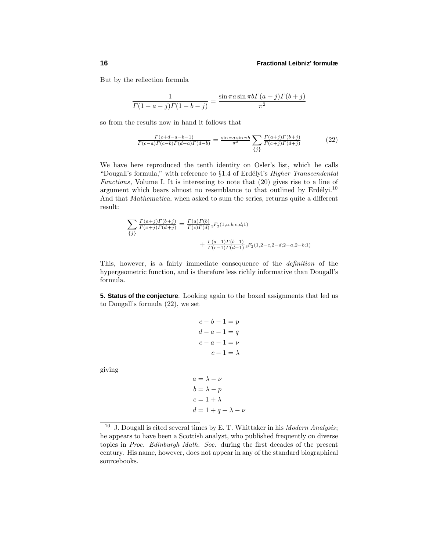#### **16 Fractional Leibniz' formulæ**

But by the reflection formula

$$
\frac{1}{\Gamma(1-a-j)\Gamma(1-b-j)} = \frac{\sin \pi a \sin \pi b \Gamma(a+j)\Gamma(b+j)}{\pi^2}
$$

so from the results now in hand it follows that

$$
\frac{\Gamma(c+d-a-b-1)}{\Gamma(c-a)\Gamma(c-b)\Gamma(d-a)\Gamma(d-b)} = \frac{\sin\pi a \sin\pi b}{\pi^2} \sum_{\{j\}} \frac{\Gamma(a+j)\Gamma(b+j)}{\Gamma(c+j)\Gamma(d+j)}\tag{22}
$$

We have here reproduced the tenth identity on Osler's list, which he calls "Dougall's formula," with reference to §1.4 of Erdélyi's *Higher Transcendental* Functions, Volume I. It is interesting to note that (20) gives rise to a line of argument which bears almost no resemblance to that outlined by  $Erdélyi.<sup>10</sup>$ And that *Mathematica*, when asked to sum the series, returns quite a different result:

$$
\sum_{\{j\}} \frac{\Gamma(a+j)\Gamma(b+j)}{\Gamma(c+j)\Gamma(d+j)} = \frac{\Gamma(a)\Gamma(b)}{\Gamma(c)\Gamma(d)} {}_3F_2(1,a,b;c,d;1) \n+ \frac{\Gamma(a-1)\Gamma(b-1)}{\Gamma(c-1)\Gamma(d-1)} {}_3F_2(1,2-c,2-d;2-a,2-b;1)
$$

This, however, is a fairly immediate consequence of the definition of the hypergeometric function, and is therefore less richly informative than Dougall's formula.

**5. Status of the conjecture**. Looking again to the boxed assignments that led us to Dougall's formula (22), we set

```
c - b - 1 = pd - a - 1 = qc - a - 1 = \nuc - 1 = \lambdaa = \lambda - \nub = \lambda - pc = 1 + \lambda
```
 $d = 1 + q + \lambda - \nu$ 

giving

<sup>&</sup>lt;sup>10</sup> J. Dougall is cited several times by E. T. Whittaker in his *Modern Analysis*; he appears to have been a Scottish analyst, who published frequently on diverse topics in Proc. Edinburgh Math. Soc. during the first decades of the present century. His name, however, does not appear in any of the standard biographical sourcebooks.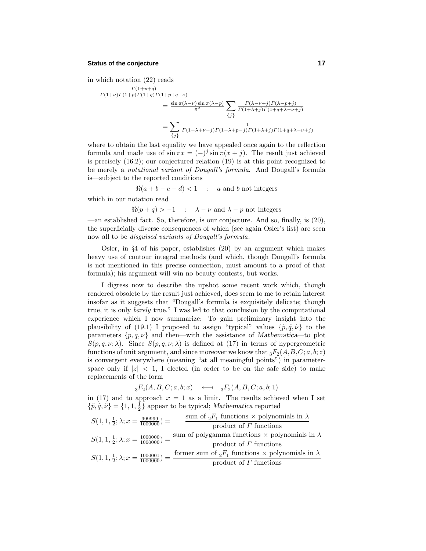# **Status of the conjecture 17**

in which notation (22) reads

$$
\frac{\Gamma(1+p+q)}{\Gamma(1+\nu)\Gamma(1+p)\Gamma(1+q)\Gamma(1+p+q-\nu)} = \frac{\sin\pi(\lambda-\nu)\sin\pi(\lambda-p)}{\pi^2} \sum_{\{j\}} \frac{\Gamma(\lambda-\nu+j)\Gamma(\lambda-p+j)}{\Gamma(1+\lambda+j)\Gamma(1+q+\lambda-\nu+j)} \n= \sum_{\{j\}} \frac{1}{\Gamma(1-\lambda+\nu-j)\Gamma(1-\lambda+p-j)\Gamma(1+\lambda+j)\Gamma(1+q+\lambda-\nu+j)}
$$

where to obtain the last equality we have appealed once again to the reflection formula and made use of  $\sin \pi x = (-)^j \sin \pi (x + j)$ . The result just achieved is precisely (16.2); our conjectured relation (19) is at this point recognized to be merely a notational variant of Dougall's formula. And Dougall's formula is—subject to the reported conditions

$$
\Re(a+b-c-d) < 1
$$
 : *a* and *b* not integers

which in our notation read

 $\Re(p+q) > -1$  :  $\lambda - \nu$  and  $\lambda - p$  not integers

—an established fact. So, therefore, is our conjecture. And so, finally, is (20), the superficially diverse consequences of which (see again Osler's list) are seen now all to be disguised variants of Dougall's formula.

Osler, in §4 of his paper, establishes (20) by an argument which makes heavy use of contour integral methods (and which, though Dougall's formula is not mentioned in this precise connection, must amount to a proof of that formula); his argument will win no beauty contests, but works.

Idigress now to describe the upshot some recent work which, though rendered obsolete by the result just achieved, does seem to me to retain interest insofar as it suggests that "Dougall's formula is exquisitely delicate; though true, it is only *barely* true." I was led to that conclusion by the computational experience which I now summarize: To gain preliminary insight into the plausibility of (19.1) I proposed to assign "typical" values  $\{\tilde{p}, \tilde{q}, \tilde{\nu}\}$  to the parameters  $\{p,q,\nu\}$  and then—with the assistance of *Mathematica*—to plot *S*( $p, q, \nu; \lambda$ ). Since *S*( $p, q, \nu; \lambda$ ) is defined at (17) in terms of hypergeometric functions of unit argument, and since moreover we know that  ${}_3F_2(A, B, C; a, b; z)$ is convergent everywhere (meaning "at all meaningful points") in parameterspace only if  $|z| < 1$ , I elected (in order to be on the safe side) to make replacements of the form

$$
{}_3F_2(A, B, C; a, b; x) \quad \longleftrightarrow \quad {}_3F_2(A, B, C; a, b; 1)
$$

in (17) and to approach  $x = 1$  as a limit. The results achieved when I set  ${\lbrace \tilde{p}, \tilde{q}, \tilde{\nu} \rbrace} = {\lbrace 1, 1, \frac{1}{2} \rbrace}$  appear to be typical; *Mathematica* reported

$$
S(1, 1, \frac{1}{2}; \lambda; x = \frac{999999}{1000000}) = \frac{\text{sum of } {}_{2}F_{1} \text{ functions} \times \text{polynomials in } \lambda}{\text{product of } \Gamma \text{ functions}}
$$

$$
S(1, 1, \frac{1}{2}; \lambda; x = \frac{1000000}{1000000}) = \frac{\text{sum of polygamma functions} \times \text{polynomials in } \lambda}{\text{product of } \Gamma \text{ functions}}
$$

$$
S(1, 1, \frac{1}{2}; \lambda; x = \frac{1000001}{1000000}) = \frac{\text{former sum of } {}_{2}F_{1} \text{ functions} \times \text{polynomials in } \lambda}{\text{product of } \Gamma \text{ functions}}
$$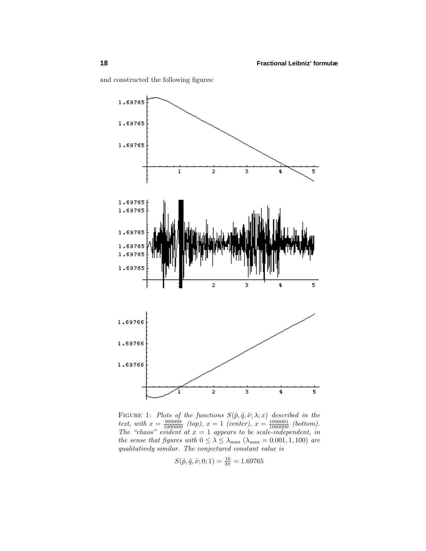

and constructed the following figures:

FIGURE 1: Plots of the functions  $S(\tilde{p}, \tilde{q}, \tilde{\nu}; \lambda; x)$  described in the text, with  $x = \frac{999999}{1000000}$  (top),  $x = 1$  (center),  $x = \frac{1000001}{1000000}$  (bottom). The "chaos" evident at  $x = 1$  appears to be scale-independent, in the sense that figures with  $0 \leq \lambda \leq \lambda_{\text{max}}$  ( $\lambda_{\text{max}} = 0.001, 1, 100$ ) are qualitatively similar. The conjectured constant value is

$$
S(\tilde{p}, \tilde{q}, \tilde{\nu}; 0; 1) = \frac{16}{3\pi} = 1.69765
$$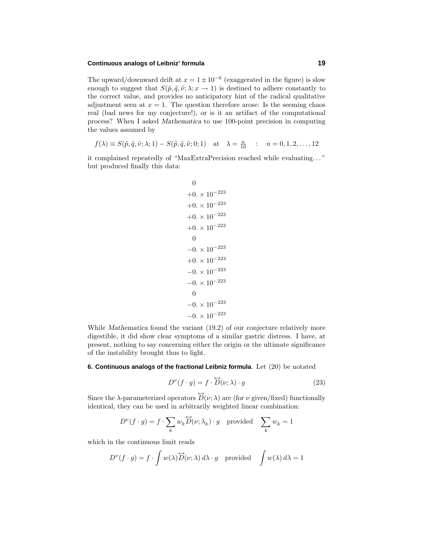# **Continuous analogs of Leibniz' formula 19**

The upward/downward drift at  $x = 1 \pm 10^{-6}$  (exaggerated in the figure) is slow enough to suggest that  $S(\tilde{p}, \tilde{q}, \tilde{\nu}; \lambda; x \to 1)$  is destined to adhere constantly to the correct value, and provides no anticipatory hint of the radical qualitative adjustment seen at  $x = 1$ . The question therefore arose: Is the seeming chaos real (bad news for my conjecture!), or is it an artifact of the computational process? When Iasked *Mathematica* to use 100-point precision in computing the values assumed by

$$
f(\lambda) \equiv S(\tilde{p}, \tilde{q}, \tilde{\nu}; \lambda; 1) - S(\tilde{p}, \tilde{q}, \tilde{\nu}; 0; 1) \quad \text{at} \quad \lambda = \frac{n}{10} \quad : \quad n = 0, 1, 2, \dots, 12
$$

it complained repeatedly of "MaxExtraPrecision reached while evaluating*...* " but produced finally this data:

$$
0
$$
\n
$$
+0. \times 10^{-223}
$$
\n
$$
+0. \times 10^{-223}
$$
\n
$$
+0. \times 10^{-223}
$$
\n
$$
+0. \times 10^{-223}
$$
\n
$$
0
$$
\n
$$
-0. \times 10^{-223}
$$
\n
$$
+0. \times 10^{-223}
$$
\n
$$
-0. \times 10^{-223}
$$
\n
$$
0
$$
\n
$$
-0. \times 10^{-223}
$$
\n
$$
-0. \times 10^{-223}
$$
\n
$$
-0. \times 10^{-223}
$$

While *Mathematica* found the variant (19.2) of our conjecture relatively more digestible, it did show clear symptoms of a similar gastric distress. Ihave, at present, nothing to say concerning either the origin or the ultimate significance of the instability brought thus to light.

**6. Continuous analogs of the fractional Leibniz formula**. Let (20) be notated

$$
D^{\nu}(f \cdot g) = f \cdot \overleftrightarrow{D}(\nu; \lambda) \cdot g \tag{23}
$$

Since the  $\lambda$ -parameterized operators  $\overleftrightarrow{D}(\nu;\lambda)$  are (for  $\nu$  given/fixed) functionally identical, they can be used in arbitrarily weighted linear combination:

$$
D^{\nu}(f \cdot g) = f \cdot \sum_{k} w_k \overleftrightarrow{D}(v; \lambda_k) \cdot g \text{ provided } \sum_{k} w_k = 1
$$

which in the continuous limit reads

$$
D^{\nu}(f \cdot g) = f \cdot \int w(\lambda) \overleftrightarrow{D}(v; \lambda) d\lambda \cdot g \text{ provided } \int w(\lambda) d\lambda = 1
$$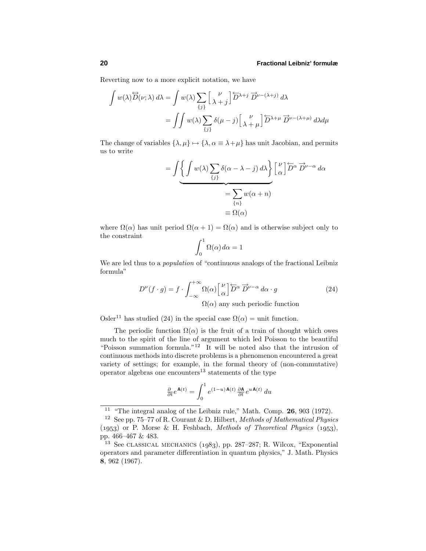#### **20 Fractional Leibniz' formulæ**

Reverting now to a more explicit notation, we have

$$
\int w(\lambda) \overleftrightarrow{D}(\nu; \lambda) d\lambda = \int w(\lambda) \sum_{\{j\}} \left[ \frac{\nu}{\lambda + j} \right] \overleftrightarrow{D}^{\lambda + j} \overrightarrow{D}^{\nu - (\lambda + j)} d\lambda
$$

$$
= \int \int w(\lambda) \sum_{\{j\}} \delta(\mu - j) \left[ \frac{\nu}{\lambda + \mu} \right] \overleftrightarrow{D}^{\lambda + \mu} \overrightarrow{D}^{\nu - (\lambda + \mu)} d\lambda d\mu
$$

The change of variables  $\{\lambda, \mu\} \mapsto \{\lambda, \alpha \equiv \lambda + \mu\}$  has unit Jacobian, and permits us to write

$$
= \int \left\{ \underbrace{\int w(\lambda) \sum_{\{j\}} \delta(\alpha - \lambda - j) d\lambda}_{\{n\}} \right\} \begin{bmatrix} \nu \\ \alpha \end{bmatrix} \overleftrightarrow{D}^{\alpha} \overrightarrow{D}^{\nu - \alpha} d\alpha
$$

$$
= \sum_{\{n\}} w(\alpha + n)
$$

$$
\equiv \Omega(\alpha)
$$

where  $\Omega(\alpha)$  has unit period  $\Omega(\alpha + 1) = \Omega(\alpha)$  and is otherwise subject only to the constraint

$$
\int_0^1 \Omega(\alpha) \, d\alpha = 1
$$

We are led thus to a *population* of "continuous analogs of the fractional Leibniz formula"

$$
D^{\nu}(f \cdot g) = f \cdot \int_{-\infty}^{+\infty} \Omega(\alpha) \begin{bmatrix} \nu \\ \alpha \end{bmatrix} \overleftarrow{D}^{\alpha} \overrightarrow{D}^{\nu-\alpha} d\alpha \cdot g
$$
 (24)  

$$
\Omega(\alpha) \text{ any such periodic function}
$$

Osler<sup>11</sup> has studied (24) in the special case  $\Omega(\alpha) =$  unit function.

The periodic function  $\Omega(\alpha)$  is the fruit of a train of thought which owes much to the spirit of the line of argument which led Poisson to the beautiful "Poisson summation formula."<sup>12</sup> It will be noted also that the intrusion of continuous methods into discrete problems is a phenomenon encountered a great variety of settings; for example, in the formal theory of (non-commutative) operator algebras one encounters<sup>13</sup> statements of the type

$$
\frac{\partial}{\partial t}e^{\mathbf{A}(t)} = \int_0^1 e^{(1-u)\mathbf{A}(t)} \frac{\partial \mathbf{A}}{\partial t} e^{u\mathbf{A}(t)} du
$$

<sup>11</sup> "The integral analog of the Leibniz rule," Math. Comp. **26**, 903 (1972).

<sup>&</sup>lt;sup>12</sup> See pp. 75–77 of R. Courant & D. Hilbert, Methods of Mathematical Physics  $(1953)$  or P. Morse & H. Feshbach, *Methods of Theoretical Physics*  $(1953)$ , pp. 466–467 & 483.

 $13$  See CLASSICAL MECHANICS (1983), pp. 287–287; R. Wilcox, "Exponential operators and parameter differentiation in quantum physics," J. Math. Physics **8**, 962 (1967).